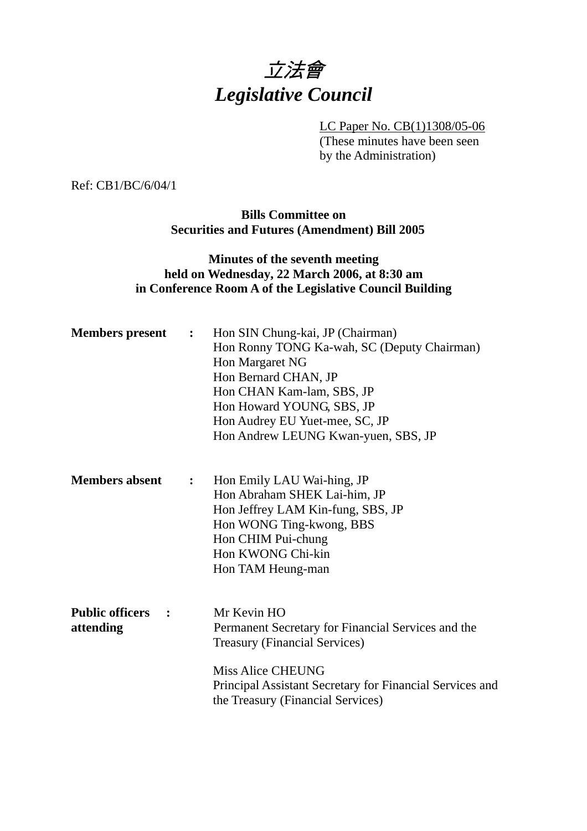

LC Paper No. CB(1)1308/05-06 (These minutes have been seen by the Administration)

Ref: CB1/BC/6/04/1

**Bills Committee on Securities and Futures (Amendment) Bill 2005** 

## **Minutes of the seventh meeting held on Wednesday, 22 March 2006, at 8:30 am in Conference Room A of the Legislative Council Building**

| <b>Members</b> present              | $\ddot{\cdot}$ | Hon SIN Chung-kai, JP (Chairman)<br>Hon Ronny TONG Ka-wah, SC (Deputy Chairman)<br>Hon Margaret NG<br>Hon Bernard CHAN, JP<br>Hon CHAN Kam-lam, SBS, JP<br>Hon Howard YOUNG, SBS, JP<br>Hon Audrey EU Yuet-mee, SC, JP<br>Hon Andrew LEUNG Kwan-yuen, SBS, JP |
|-------------------------------------|----------------|---------------------------------------------------------------------------------------------------------------------------------------------------------------------------------------------------------------------------------------------------------------|
| <b>Members absent</b>               | $\ddot{\cdot}$ | Hon Emily LAU Wai-hing, JP<br>Hon Abraham SHEK Lai-him, JP<br>Hon Jeffrey LAM Kin-fung, SBS, JP<br>Hon WONG Ting-kwong, BBS<br>Hon CHIM Pui-chung<br>Hon KWONG Chi-kin<br>Hon TAM Heung-man                                                                   |
| <b>Public officers</b><br>attending |                | Mr Kevin HO<br>Permanent Secretary for Financial Services and the<br><b>Treasury (Financial Services)</b><br><b>Miss Alice CHEUNG</b><br>Principal Assistant Secretary for Financial Services and<br>the Treasury (Financial Services)                        |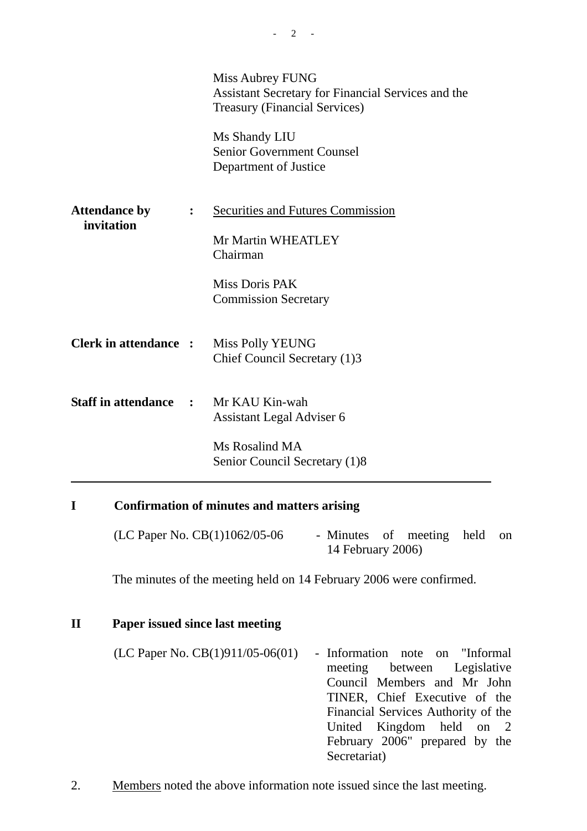|                                    |                | <b>Miss Aubrey FUNG</b><br>Assistant Secretary for Financial Services and the<br><b>Treasury (Financial Services)</b><br>Ms Shandy LIU<br><b>Senior Government Counsel</b><br>Department of Justice |
|------------------------------------|----------------|-----------------------------------------------------------------------------------------------------------------------------------------------------------------------------------------------------|
| <b>Attendance by</b><br>invitation | $\ddot{\cdot}$ | <b>Securities and Futures Commission</b><br>Mr Martin WHEATLEY<br>Chairman<br>Miss Doris PAK<br><b>Commission Secretary</b>                                                                         |
| <b>Clerk in attendance :</b>       |                | <b>Miss Polly YEUNG</b><br>Chief Council Secretary (1)3                                                                                                                                             |
| <b>Staff in attendance</b>         | $\mathbf{r}$   | Mr KAU Kin-wah<br>Assistant Legal Adviser 6                                                                                                                                                         |
|                                    |                | Ms Rosalind MA<br>Senior Council Secretary (1)8                                                                                                                                                     |

# **I Confirmation of minutes and matters arising**

| (LC Paper No. $CB(1)1062/05-06$ | - Minutes of meeting held on |  |  |
|---------------------------------|------------------------------|--|--|
|                                 | 14 February 2006)            |  |  |

The minutes of the meeting held on 14 February 2006 were confirmed.

# **II Paper issued since last meeting**

| (LC Paper No. $CB(1)911/05-06(01)$ | - Information note on "Informal     |
|------------------------------------|-------------------------------------|
|                                    | meeting between Legislative         |
|                                    | Council Members and Mr John         |
|                                    | TINER, Chief Executive of the       |
|                                    | Financial Services Authority of the |
|                                    | United Kingdom held on 2            |
|                                    | February 2006" prepared by the      |
|                                    | Secretariat)                        |

2. Members noted the above information note issued since the last meeting.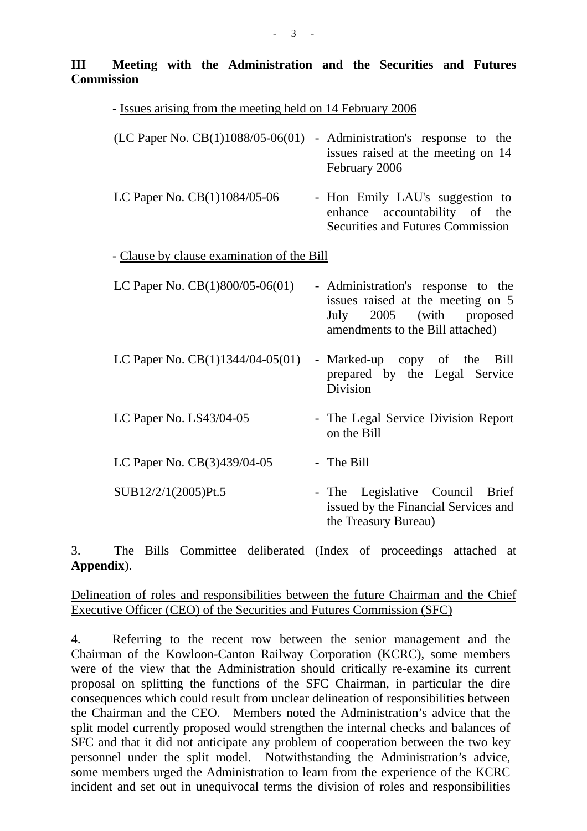## **III Meeting with the Administration and the Securities and Futures Commission**

| - Issues arising from the meeting held on 14 February 2006 |                                                                                                                                            |
|------------------------------------------------------------|--------------------------------------------------------------------------------------------------------------------------------------------|
| (LC Paper No. CB(1)1088/05-06(01)                          | - Administration's response to the<br>issues raised at the meeting on 14<br>February 2006                                                  |
| LC Paper No. CB(1)1084/05-06                               | - Hon Emily LAU's suggestion to<br>enhance accountability of the<br><b>Securities and Futures Commission</b>                               |
| - Clause by clause examination of the Bill                 |                                                                                                                                            |
| LC Paper No. CB(1)800/05-06(01)                            | - Administration's response to the<br>issues raised at the meeting on 5<br>2005 (with proposed<br>July<br>amendments to the Bill attached) |
| LC Paper No. $CB(1)1344/04-05(01)$                         | - Marked-up copy of the<br>Bill<br>prepared by the Legal Service<br>Division                                                               |
| LC Paper No. LS43/04-05                                    | - The Legal Service Division Report<br>on the Bill                                                                                         |
| LC Paper No. CB(3)439/04-05                                | - The Bill                                                                                                                                 |
| SUB12/2/1(2005)Pt.5                                        | - The Legislative Council Brief<br>issued by the Financial Services and<br>the Treasury Bureau)                                            |

3. The Bills Committee deliberated (Index of proceedings attached at **Appendix**).

#### Delineation of roles and responsibilities between the future Chairman and the Chief Executive Officer (CEO) of the Securities and Futures Commission (SFC)

4. Referring to the recent row between the senior management and the Chairman of the Kowloon-Canton Railway Corporation (KCRC), some members were of the view that the Administration should critically re-examine its current proposal on splitting the functions of the SFC Chairman, in particular the dire consequences which could result from unclear delineation of responsibilities between the Chairman and the CEO. Members noted the Administration's advice that the split model currently proposed would strengthen the internal checks and balances of SFC and that it did not anticipate any problem of cooperation between the two key personnel under the split model. Notwithstanding the Administration's advice, some members urged the Administration to learn from the experience of the KCRC incident and set out in unequivocal terms the division of roles and responsibilities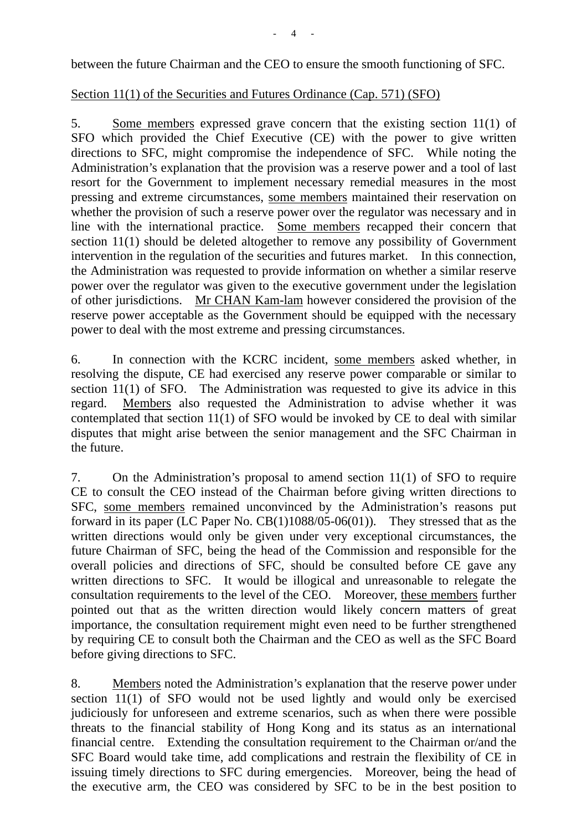between the future Chairman and the CEO to ensure the smooth functioning of SFC.

# Section 11(1) of the Securities and Futures Ordinance (Cap. 571) (SFO)

5. Some members expressed grave concern that the existing section 11(1) of SFO which provided the Chief Executive (CE) with the power to give written directions to SFC, might compromise the independence of SFC. While noting the Administration's explanation that the provision was a reserve power and a tool of last resort for the Government to implement necessary remedial measures in the most pressing and extreme circumstances, some members maintained their reservation on whether the provision of such a reserve power over the regulator was necessary and in line with the international practice. Some members recapped their concern that section 11(1) should be deleted altogether to remove any possibility of Government intervention in the regulation of the securities and futures market. In this connection, the Administration was requested to provide information on whether a similar reserve power over the regulator was given to the executive government under the legislation of other jurisdictions. Mr CHAN Kam-lam however considered the provision of the reserve power acceptable as the Government should be equipped with the necessary power to deal with the most extreme and pressing circumstances.

6. In connection with the KCRC incident, some members asked whether, in resolving the dispute, CE had exercised any reserve power comparable or similar to section 11(1) of SFO. The Administration was requested to give its advice in this regard. Members also requested the Administration to advise whether it was contemplated that section 11(1) of SFO would be invoked by CE to deal with similar disputes that might arise between the senior management and the SFC Chairman in the future.

7. On the Administration's proposal to amend section 11(1) of SFO to require CE to consult the CEO instead of the Chairman before giving written directions to SFC, some members remained unconvinced by the Administration's reasons put forward in its paper (LC Paper No. CB(1)1088/05-06(01)). They stressed that as the written directions would only be given under very exceptional circumstances, the future Chairman of SFC, being the head of the Commission and responsible for the overall policies and directions of SFC, should be consulted before CE gave any written directions to SFC. It would be illogical and unreasonable to relegate the consultation requirements to the level of the CEO. Moreover, these members further pointed out that as the written direction would likely concern matters of great importance, the consultation requirement might even need to be further strengthened by requiring CE to consult both the Chairman and the CEO as well as the SFC Board before giving directions to SFC.

8. Members noted the Administration's explanation that the reserve power under section 11(1) of SFO would not be used lightly and would only be exercised judiciously for unforeseen and extreme scenarios, such as when there were possible threats to the financial stability of Hong Kong and its status as an international financial centre. Extending the consultation requirement to the Chairman or/and the SFC Board would take time, add complications and restrain the flexibility of CE in issuing timely directions to SFC during emergencies. Moreover, being the head of the executive arm, the CEO was considered by SFC to be in the best position to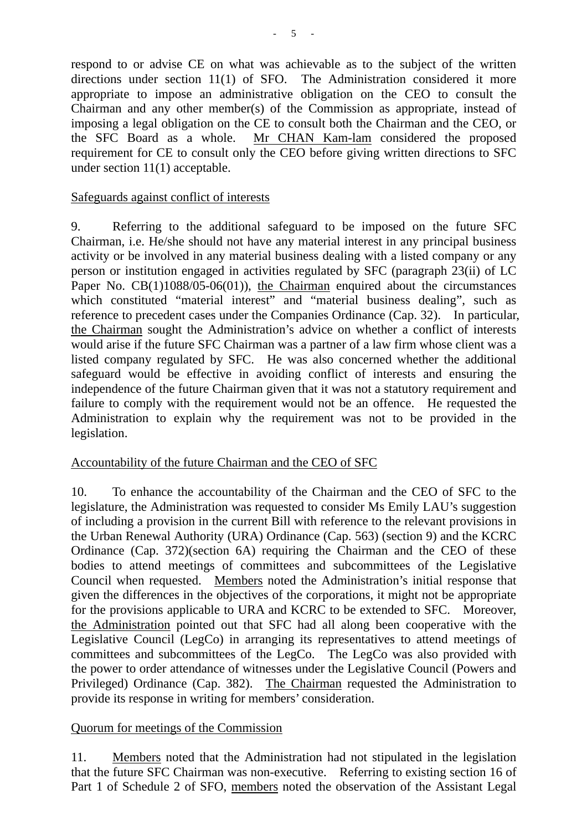respond to or advise CE on what was achievable as to the subject of the written directions under section 11(1) of SFO. The Administration considered it more appropriate to impose an administrative obligation on the CEO to consult the Chairman and any other member(s) of the Commission as appropriate, instead of imposing a legal obligation on the CE to consult both the Chairman and the CEO, or the SFC Board as a whole. Mr CHAN Kam-lam considered the proposed requirement for CE to consult only the CEO before giving written directions to SFC under section 11(1) acceptable.

#### Safeguards against conflict of interests

9. Referring to the additional safeguard to be imposed on the future SFC Chairman, i.e. He/she should not have any material interest in any principal business activity or be involved in any material business dealing with a listed company or any person or institution engaged in activities regulated by SFC (paragraph 23(ii) of LC Paper No. CB(1)1088/05-06(01)), the Chairman enquired about the circumstances which constituted "material interest" and "material business dealing", such as reference to precedent cases under the Companies Ordinance (Cap. 32). In particular, the Chairman sought the Administration's advice on whether a conflict of interests would arise if the future SFC Chairman was a partner of a law firm whose client was a listed company regulated by SFC. He was also concerned whether the additional safeguard would be effective in avoiding conflict of interests and ensuring the independence of the future Chairman given that it was not a statutory requirement and failure to comply with the requirement would not be an offence. He requested the Administration to explain why the requirement was not to be provided in the legislation.

#### Accountability of the future Chairman and the CEO of SFC

10. To enhance the accountability of the Chairman and the CEO of SFC to the legislature, the Administration was requested to consider Ms Emily LAU's suggestion of including a provision in the current Bill with reference to the relevant provisions in the Urban Renewal Authority (URA) Ordinance (Cap. 563) (section 9) and the KCRC Ordinance (Cap. 372)(section 6A) requiring the Chairman and the CEO of these bodies to attend meetings of committees and subcommittees of the Legislative Council when requested. Members noted the Administration's initial response that given the differences in the objectives of the corporations, it might not be appropriate for the provisions applicable to URA and KCRC to be extended to SFC. Moreover, the Administration pointed out that SFC had all along been cooperative with the Legislative Council (LegCo) in arranging its representatives to attend meetings of committees and subcommittees of the LegCo. The LegCo was also provided with the power to order attendance of witnesses under the Legislative Council (Powers and Privileged) Ordinance (Cap. 382). The Chairman requested the Administration to provide its response in writing for members' consideration.

#### Quorum for meetings of the Commission

11. Members noted that the Administration had not stipulated in the legislation that the future SFC Chairman was non-executive. Referring to existing section 16 of Part 1 of Schedule 2 of SFO, members noted the observation of the Assistant Legal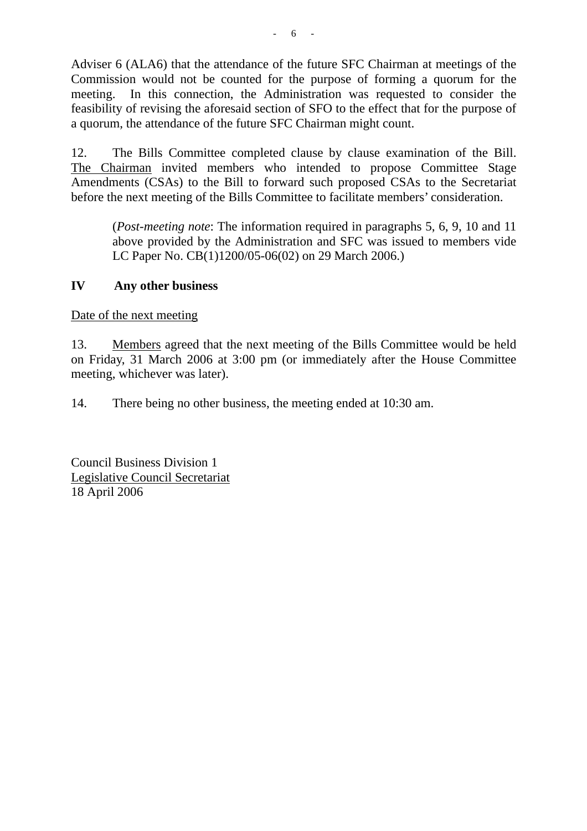Adviser 6 (ALA6) that the attendance of the future SFC Chairman at meetings of the Commission would not be counted for the purpose of forming a quorum for the meeting. In this connection, the Administration was requested to consider the feasibility of revising the aforesaid section of SFO to the effect that for the purpose of a quorum, the attendance of the future SFC Chairman might count.

12. The Bills Committee completed clause by clause examination of the Bill. The Chairman invited members who intended to propose Committee Stage Amendments (CSAs) to the Bill to forward such proposed CSAs to the Secretariat before the next meeting of the Bills Committee to facilitate members' consideration.

(*Post-meeting note*: The information required in paragraphs 5, 6, 9, 10 and 11 above provided by the Administration and SFC was issued to members vide LC Paper No. CB(1)1200/05-06(02) on 29 March 2006.)

#### **IV Any other business**

Date of the next meeting

13. Members agreed that the next meeting of the Bills Committee would be held on Friday, 31 March 2006 at 3:00 pm (or immediately after the House Committee meeting, whichever was later).

14. There being no other business, the meeting ended at 10:30 am.

Council Business Division 1 Legislative Council Secretariat 18 April 2006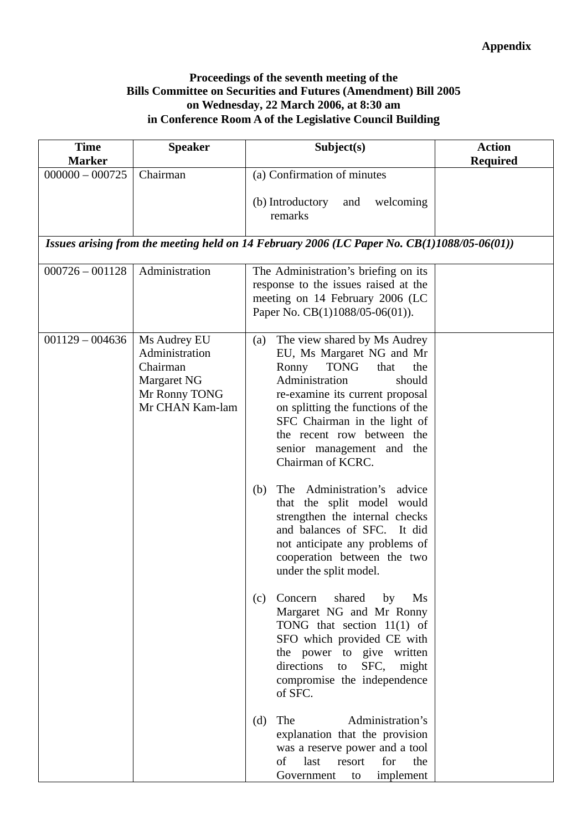#### **Proceedings of the seventh meeting of the Bills Committee on Securities and Futures (Amendment) Bill 2005 on Wednesday, 22 March 2006, at 8:30 am in Conference Room A of the Legislative Council Building**

| <b>Time</b><br><b>Marker</b> | <b>Speaker</b>                                                                                | Subject(s)                                                                                                                                                                                                                                                                                                                                                                                                                                                                                                                                                                                                                            | <b>Action</b><br><b>Required</b> |
|------------------------------|-----------------------------------------------------------------------------------------------|---------------------------------------------------------------------------------------------------------------------------------------------------------------------------------------------------------------------------------------------------------------------------------------------------------------------------------------------------------------------------------------------------------------------------------------------------------------------------------------------------------------------------------------------------------------------------------------------------------------------------------------|----------------------------------|
| $000000 - 000725$            | Chairman                                                                                      | (a) Confirmation of minutes                                                                                                                                                                                                                                                                                                                                                                                                                                                                                                                                                                                                           |                                  |
|                              |                                                                                               | welcoming<br>(b) Introductory<br>and<br>remarks                                                                                                                                                                                                                                                                                                                                                                                                                                                                                                                                                                                       |                                  |
|                              |                                                                                               | Issues arising from the meeting held on 14 February 2006 (LC Paper No. $CB(1)1088/05-06(01)$ )                                                                                                                                                                                                                                                                                                                                                                                                                                                                                                                                        |                                  |
| $000726 - 001128$            | Administration                                                                                | The Administration's briefing on its<br>response to the issues raised at the<br>meeting on 14 February 2006 (LC<br>Paper No. CB(1)1088/05-06(01)).                                                                                                                                                                                                                                                                                                                                                                                                                                                                                    |                                  |
| $001129 - 004636$            | Ms Audrey EU<br>Administration<br>Chairman<br>Margaret NG<br>Mr Ronny TONG<br>Mr CHAN Kam-lam | The view shared by Ms Audrey<br>(a)<br>EU, Ms Margaret NG and Mr<br>Ronny<br><b>TONG</b><br>that<br>the<br>Administration<br>should<br>re-examine its current proposal<br>on splitting the functions of the<br>SFC Chairman in the light of<br>the recent row between the<br>senior management and the<br>Chairman of KCRC.<br>The Administration's<br>advice<br>(b)<br>that the split model<br>would<br>strengthen the internal checks<br>and balances of SFC. It did<br>not anticipate any problems of<br>cooperation between the two<br>under the split model.<br>Concern<br>shared<br>by<br>Ms<br>(c)<br>Margaret NG and Mr Ronny |                                  |
|                              |                                                                                               | TONG that section $11(1)$ of<br>SFO which provided CE with<br>the power to give written<br>SFC,<br>directions to<br>might<br>compromise the independence<br>of SFC.<br>(d)<br>The<br>Administration's<br>explanation that the provision<br>was a reserve power and a tool<br>of last<br>for<br>the<br>resort                                                                                                                                                                                                                                                                                                                          |                                  |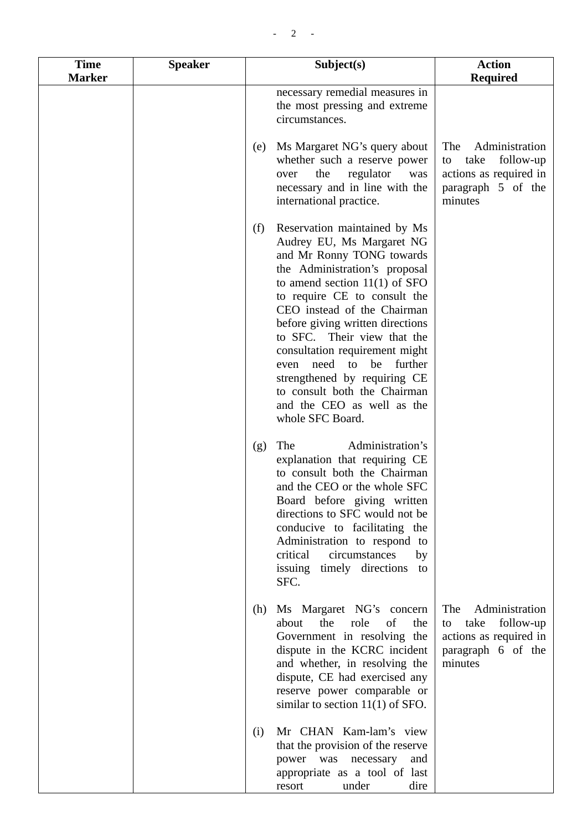| <b>Time</b><br><b>Marker</b> | <b>Speaker</b> | Subject(s)                                                                                                                                                                                                                                                                                                                                                                                                                                                                                  | <b>Action</b><br><b>Required</b>                                                                            |
|------------------------------|----------------|---------------------------------------------------------------------------------------------------------------------------------------------------------------------------------------------------------------------------------------------------------------------------------------------------------------------------------------------------------------------------------------------------------------------------------------------------------------------------------------------|-------------------------------------------------------------------------------------------------------------|
|                              |                | necessary remedial measures in<br>the most pressing and extreme<br>circumstances.                                                                                                                                                                                                                                                                                                                                                                                                           |                                                                                                             |
|                              |                | Ms Margaret NG's query about<br>(e)<br>whether such a reserve power<br>regulator<br>the<br>over<br>was<br>necessary and in line with the<br>international practice.                                                                                                                                                                                                                                                                                                                         | The<br>Administration<br>take<br>follow-up<br>to<br>actions as required in<br>paragraph 5 of the<br>minutes |
|                              |                | Reservation maintained by Ms<br>(f)<br>Audrey EU, Ms Margaret NG<br>and Mr Ronny TONG towards<br>the Administration's proposal<br>to amend section $11(1)$ of SFO<br>to require CE to consult the<br>CEO instead of the Chairman<br>before giving written directions<br>to SFC. Their view that the<br>consultation requirement might<br>need to<br>further<br>be<br>even<br>strengthened by requiring CE<br>to consult both the Chairman<br>and the CEO as well as the<br>whole SFC Board. |                                                                                                             |
|                              |                | The<br>Administration's<br>(g)<br>explanation that requiring CE<br>to consult both the Chairman<br>and the CEO or the whole SFC<br>Board before giving written<br>directions to SFC would not be<br>conducive to facilitating the<br>Administration to respond to<br>critical<br>circumstances<br>by<br>issuing timely directions<br>to<br>SFC.                                                                                                                                             |                                                                                                             |
|                              |                | Ms Margaret NG's concern<br>(h)<br>about<br>the<br>role<br>of<br>the<br>Government in resolving the<br>dispute in the KCRC incident<br>and whether, in resolving the<br>dispute, CE had exercised any<br>reserve power comparable or<br>similar to section $11(1)$ of SFO.                                                                                                                                                                                                                  | Administration<br>The<br>take<br>follow-up<br>to<br>actions as required in<br>paragraph 6 of the<br>minutes |
|                              |                | Mr CHAN Kam-lam's view<br>(i)<br>that the provision of the reserve<br>power was<br>necessary<br>and<br>appropriate as a tool of last<br>dire<br>resort<br>under                                                                                                                                                                                                                                                                                                                             |                                                                                                             |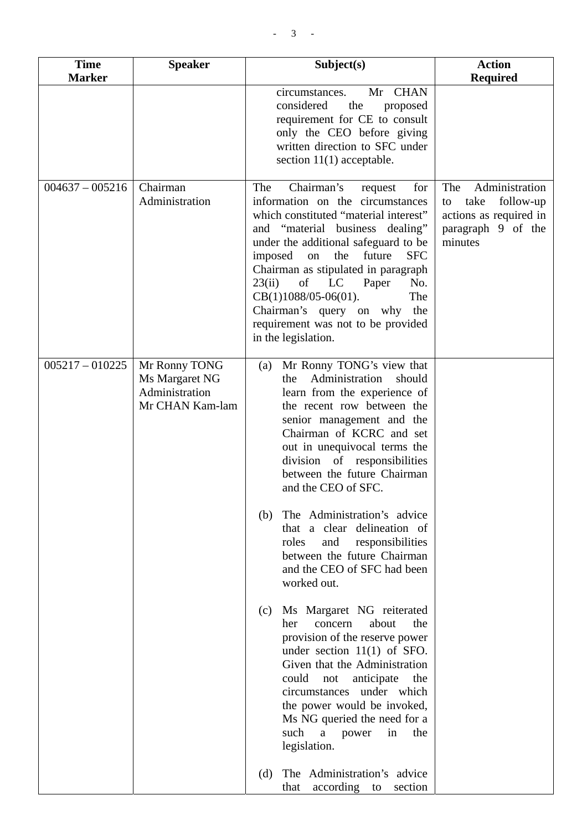| <b>Time</b>       | <b>Speaker</b>                                                       | Subject(s)                                                                                                                                                                                                                                                                                                                                                                                                                                                                              | <b>Action</b>                                                                                               |
|-------------------|----------------------------------------------------------------------|-----------------------------------------------------------------------------------------------------------------------------------------------------------------------------------------------------------------------------------------------------------------------------------------------------------------------------------------------------------------------------------------------------------------------------------------------------------------------------------------|-------------------------------------------------------------------------------------------------------------|
| <b>Marker</b>     |                                                                      |                                                                                                                                                                                                                                                                                                                                                                                                                                                                                         | <b>Required</b>                                                                                             |
|                   |                                                                      | Mr CHAN<br>circumstances.<br>considered<br>the<br>proposed<br>requirement for CE to consult<br>only the CEO before giving<br>written direction to SFC under<br>section $11(1)$ acceptable.                                                                                                                                                                                                                                                                                              |                                                                                                             |
| $004637 - 005216$ | Chairman<br>Administration                                           | Chairman's<br>The<br>for<br>request<br>information on the circumstances<br>which constituted "material interest"<br>and "material business dealing"<br>under the additional safeguard to be<br><b>SFC</b><br>the<br>future<br>imposed<br>on<br>Chairman as stipulated in paragraph<br>23(ii)<br>of<br>LC<br>Paper<br>No.<br>The<br>$CB(1)1088/05-06(01).$<br>Chairman's query on why the<br>requirement was not to be provided<br>in the legislation.                                   | Administration<br>The<br>take<br>follow-up<br>to<br>actions as required in<br>paragraph 9 of the<br>minutes |
| $005217 - 010225$ | Mr Ronny TONG<br>Ms Margaret NG<br>Administration<br>Mr CHAN Kam-lam | Mr Ronny TONG's view that<br>(a)<br>Administration<br>should<br>the<br>learn from the experience of<br>the recent row between the<br>senior management and the<br>Chairman of KCRC and set<br>out in unequivocal terms the<br>division of responsibilities<br>between the future Chairman<br>and the CEO of SFC.<br>The Administration's advice<br>(b)<br>that a clear delineation of<br>roles<br>and<br>responsibilities<br>between the future Chairman<br>and the CEO of SFC had been |                                                                                                             |
|                   |                                                                      | worked out.<br>Ms Margaret NG reiterated<br>(c)<br>about<br>concern<br>the<br>her<br>provision of the reserve power<br>under section $11(1)$ of SFO.<br>Given that the Administration<br>could<br>anticipate<br>the<br>not<br>circumstances under which<br>the power would be invoked,<br>Ms NG queried the need for a<br>such<br>a<br>in<br>the<br>power<br>legislation.<br>The Administration's advice<br>(d)<br>according to<br>that<br>section                                      |                                                                                                             |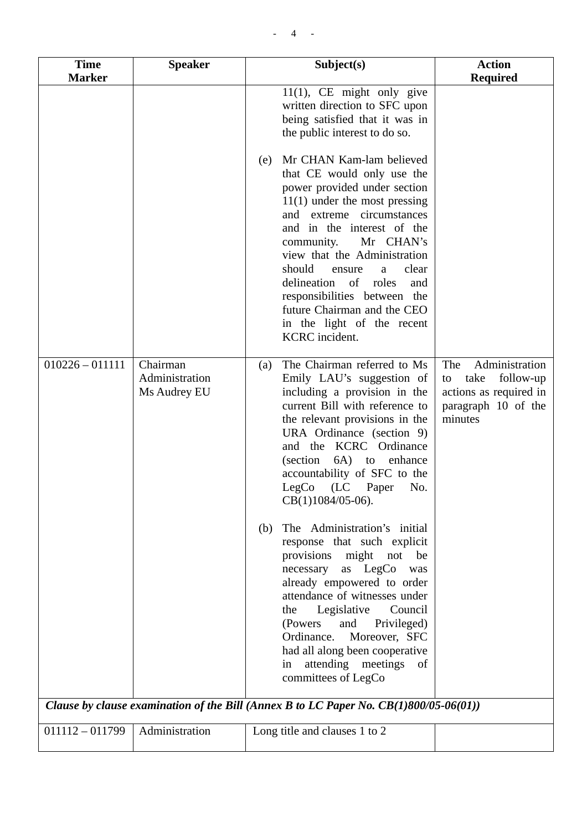| <b>Time</b><br><b>Marker</b> | <b>Speaker</b>                             | Subject(s)                                                                                                                                                                                                                                                                                                                                                                                                                                | <b>Action</b><br><b>Required</b>                                                                             |
|------------------------------|--------------------------------------------|-------------------------------------------------------------------------------------------------------------------------------------------------------------------------------------------------------------------------------------------------------------------------------------------------------------------------------------------------------------------------------------------------------------------------------------------|--------------------------------------------------------------------------------------------------------------|
|                              |                                            | $11(1)$ , CE might only give<br>written direction to SFC upon<br>being satisfied that it was in<br>the public interest to do so.                                                                                                                                                                                                                                                                                                          |                                                                                                              |
|                              |                                            | Mr CHAN Kam-lam believed<br>(e)<br>that CE would only use the<br>power provided under section<br>$11(1)$ under the most pressing<br>and extreme circumstances<br>and in the interest of the<br>Mr CHAN's<br>community.<br>view that the Administration<br>should<br>clear<br>ensure<br>a<br>delineation of<br>roles<br>and<br>responsibilities between the<br>future Chairman and the CEO<br>in the light of the recent<br>KCRC incident. |                                                                                                              |
| $010226 - 011111$            | Chairman<br>Administration<br>Ms Audrey EU | The Chairman referred to Ms<br>(a)<br>Emily LAU's suggestion of<br>including a provision in the<br>current Bill with reference to<br>the relevant provisions in the<br>URA Ordinance (section 9)<br><b>KCRC</b> Ordinance<br>and the<br>$6A$ to<br>(section)<br>enhance<br>accountability of SFC to the<br>(LC)<br>LegCo<br>Paper<br>No.<br>$CB(1)1084/05-06$ .                                                                           | Administration<br>The<br>take<br>follow-up<br>to<br>actions as required in<br>paragraph 10 of the<br>minutes |
|                              |                                            | The Administration's initial<br>(b)<br>response that such explicit<br>provisions might<br>not<br>be<br>as LegCo<br>necessary<br>was<br>already empowered to order<br>attendance of witnesses under<br>Legislative<br>Council<br>the<br>(Powers)<br>and<br>Privileged)<br>Ordinance.<br>Moreover, SFC<br>had all along been cooperative<br>attending meetings<br>of<br>in<br>committees of LegCo                                           |                                                                                                              |
|                              |                                            | Clause by clause examination of the Bill (Annex B to LC Paper No. $CB(1)800/05-06(01)$ )                                                                                                                                                                                                                                                                                                                                                  |                                                                                                              |
| $011112 - 011799$            | Administration                             | Long title and clauses 1 to 2                                                                                                                                                                                                                                                                                                                                                                                                             |                                                                                                              |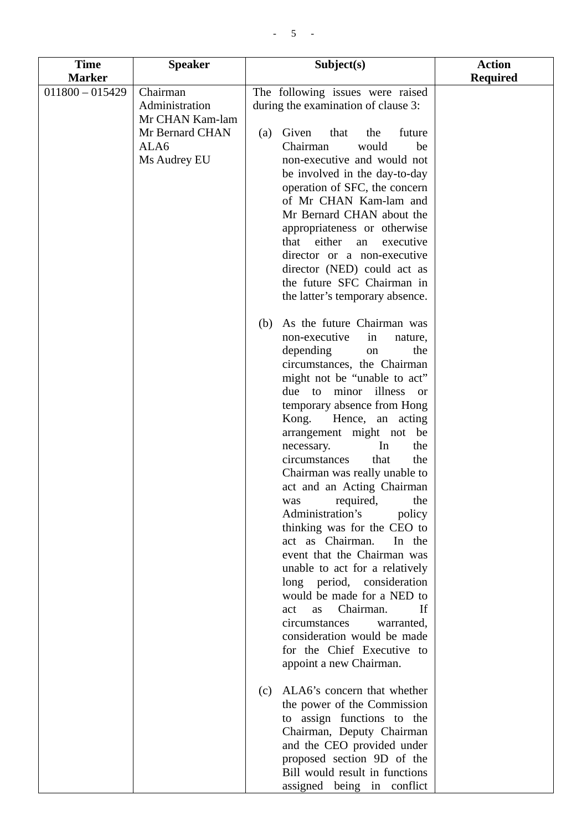| <b>Time</b>       | <b>Speaker</b>             | Subject(s)                                                              | <b>Action</b>   |
|-------------------|----------------------------|-------------------------------------------------------------------------|-----------------|
| <b>Marker</b>     |                            |                                                                         | <b>Required</b> |
| $011800 - 015429$ | Chairman<br>Administration | The following issues were raised<br>during the examination of clause 3: |                 |
|                   | Mr CHAN Kam-lam            |                                                                         |                 |
|                   | Mr Bernard CHAN<br>ALA6    | Given<br>that<br>the<br>future<br>(a)<br>Chairman<br>would<br>be        |                 |
|                   | Ms Audrey EU               | non-executive and would not                                             |                 |
|                   |                            | be involved in the day-to-day                                           |                 |
|                   |                            | operation of SFC, the concern                                           |                 |
|                   |                            | of Mr CHAN Kam-lam and                                                  |                 |
|                   |                            | Mr Bernard CHAN about the                                               |                 |
|                   |                            | appropriateness or otherwise                                            |                 |
|                   |                            | either<br>that<br>an<br>executive                                       |                 |
|                   |                            | director or a non-executive                                             |                 |
|                   |                            | director (NED) could act as                                             |                 |
|                   |                            | the future SFC Chairman in<br>the latter's temporary absence.           |                 |
|                   |                            |                                                                         |                 |
|                   |                            | As the future Chairman was<br>(b)                                       |                 |
|                   |                            | non-executive<br>in<br>nature,                                          |                 |
|                   |                            | depending<br>the<br>on                                                  |                 |
|                   |                            | circumstances, the Chairman<br>might not be "unable to act"             |                 |
|                   |                            | illness or<br>due to minor                                              |                 |
|                   |                            | temporary absence from Hong                                             |                 |
|                   |                            | Kong. Hence, an acting                                                  |                 |
|                   |                            | arrangement might not be                                                |                 |
|                   |                            | necessary.<br>In<br>the                                                 |                 |
|                   |                            | circumstances<br>the<br>that<br>Chairman was really unable to           |                 |
|                   |                            | act and an Acting Chairman                                              |                 |
|                   |                            | was required,<br>the                                                    |                 |
|                   |                            | Administration's<br>policy                                              |                 |
|                   |                            | thinking was for the CEO to                                             |                 |
|                   |                            | act as Chairman.<br>In the                                              |                 |
|                   |                            | event that the Chairman was                                             |                 |
|                   |                            | unable to act for a relatively<br>long period, consideration            |                 |
|                   |                            | would be made for a NED to                                              |                 |
|                   |                            | Chairman.<br>If<br>act<br>as                                            |                 |
|                   |                            | circumstances<br>warranted,                                             |                 |
|                   |                            | consideration would be made                                             |                 |
|                   |                            | for the Chief Executive to                                              |                 |
|                   |                            | appoint a new Chairman.                                                 |                 |
|                   |                            | ALA6's concern that whether<br>(c)                                      |                 |
|                   |                            | the power of the Commission                                             |                 |
|                   |                            | to assign functions to the                                              |                 |
|                   |                            | Chairman, Deputy Chairman                                               |                 |
|                   |                            | and the CEO provided under                                              |                 |
|                   |                            | proposed section 9D of the<br>Bill would result in functions            |                 |
|                   |                            | assigned being in conflict                                              |                 |